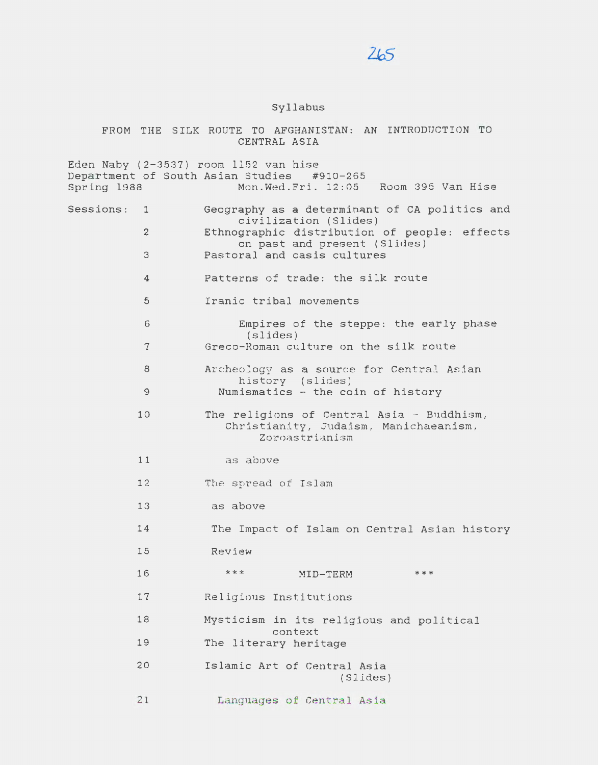## $265$

## Syllabus

FROM THE SILK ROUTE TO AFGHANISTAN: AN INTRODUCTION TO CENTRAL ASIA

Eden Naby (2-3537) room 1152 van *hise*  Department of South Asian Studies Spring 1988 Mon.Wed.Fri. 12:05 Room 395 Van Hise Sessions: <sup>1</sup> 2 3 4 5 6 7 8 9 10 11 12 13 14 15 16 17 18 19 20 2 1 Geography as a determinant of CA politics and civilization (Slides) Ethnographic distribution of people: effects on past and present (Slides) Pastoral and oasis cultures Patterns of trade: the silk route Iranic tribal movements Empires of the steppe: the early phase (slides) Greco-Roman culture on the silk route Archeology as a source for Central Asian history (slides) Numismatics - the coin of history The religions of Central Asia - Buddhism, Christianity, Judaism, Manichaeanism, Zoroastrianism as above The spread of Islam as above The Impact of Islam on Central Asian history Review \*\*\* MID-TERM \*\*\* Religious Institutions Mysticism in its religious and political context The literary heritage Islamic Art of Central Asia {Slides) Languages of Central Asia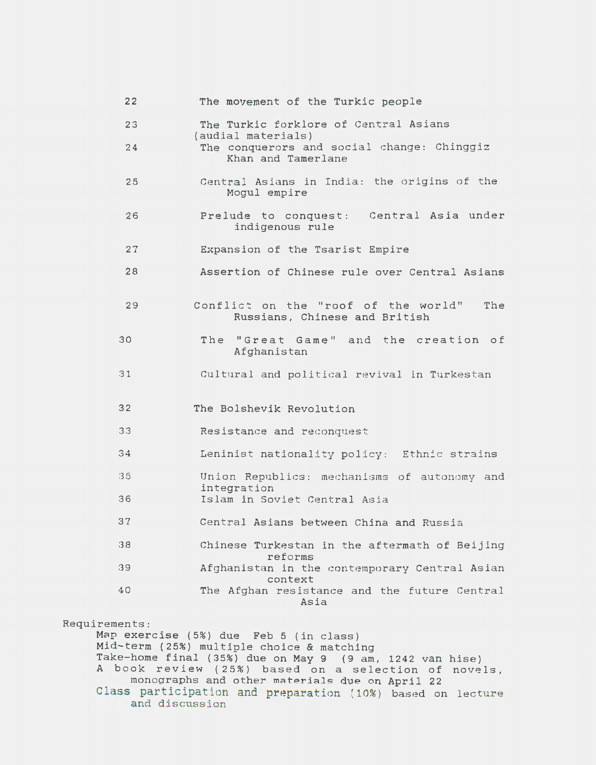| 22 | The movement of the Turkic people                                           |
|----|-----------------------------------------------------------------------------|
| 23 | The Turkic forklore of Central Asians<br>(audial materials)                 |
| 24 | The conquerors and social change: Chinggiz<br>Khan and Tamerlane            |
| 25 | Central Asians in India: the origins of the<br>Mogul empire                 |
| 26 | Prelude to conquest: Central Asia under<br>indigenous rule                  |
| 27 | Expansion of the Tsarist Empire                                             |
| 28 | Assertion of Chinese rule over Central Asians                               |
| 29 | Conflict on the "roof of the world"<br>The<br>Russians, Chinese and British |
| 30 | The "Great Game" and the creation of<br>Afghanistan                         |
| 31 | Cultural and political revival in Turkestan                                 |
| 32 | The Bolshevik Revolution                                                    |
| 33 | Resistance and reconquest                                                   |
| 34 | Leninist nationality policy: Ethnic strains                                 |
| 35 | Union Republics: mechanisms of autonomy and<br>integration                  |
| 36 | Islam in Soviet Central Asia                                                |
| 37 | Central Asians between China and Russia                                     |
|    |                                                                             |
| 38 | Chinese Turkestan in the aftermath of Beijing                               |
| 39 | reforms<br>Afghanistan in the contemporary Central Asian                    |
| 40 | context<br>The Afghan resistance and the future Central<br>Asia             |

Requirem Map exercise (5%) due Feb 5 *(in* class) Mid-term (25%) multiple choice & matching Take-home final (35%) due on May 9 (9 am, 1242 van A book review ( 25%) based on a selection of monographs and other materials due on April 22 Class participation and preparation (10%) based on lecture and discussion hise) novels,